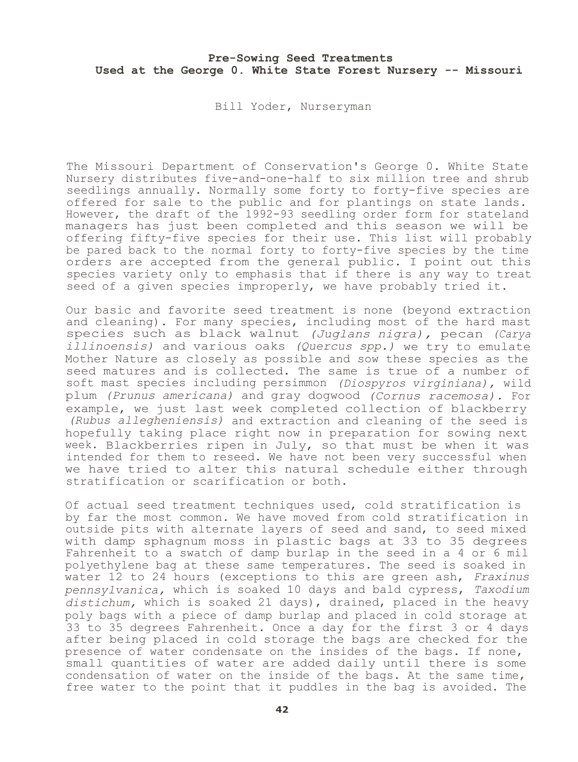Bill Yoder, Nurseryman

The Missouri Department of Conservation's George 0. White State Nursery distributes five-and-one-half to six million tree and shrub seedlings annually. Normally some forty to forty-five species are offered for sale to the public and for plantings on state lands. However, the draft of the 1992-93 seedling order form for stateland managers has just been completed and this season we will be offering fifty-five species for their use. This list will probably be pared back to the normal forty to forty-five species by the time orders are accepted from the general public. I point out this species variety only to emphasis that if there is any way to treat seed of a given species improperly, we have probably tried it.

Our basic and favorite seed treatment is none (beyond extraction and cleaning). For many species, including most of the hard mast species such as black walnut *(Juglans nigra),* pecan *(Carya illinoensis)* and various oaks *(Quercus spp.)* we try to emulate Mother Nature as closely as possible and sow these species as the seed matures and is collected. The same is true of a number of soft mast species including persimmon *(Diospyros virginiana),* wild plum *(Prunus americana)* and gray dogwood *(Cornus racemosa).* For example, we just last week completed collection of blackberry *(Rubus allegheniensis)* and extraction and cleaning of the seed is hopefully taking place right now in preparation for sowing next week. Blackberries ripen in July, so that must be when it was intended for them to reseed. We have not been very successful when we have tried to alter this natural schedule either through stratification or scarification or both.

Of actual seed treatment techniques used, cold stratification is by far the most common. We have moved from cold stratification in outside pits with alternate layers of seed and sand, to seed mixed with damp sphagnum moss in plastic bags at 33 to 35 degrees Fahrenheit to a swatch of damp burlap in the seed in a 4 or 6 mil polyethylene bag at these same temperatures. The seed is soaked in water 12 to 24 hours (exceptions to this are green ash, *Fraxinus pennsylvanica,* which is soaked 10 days and bald cypress, *Taxodium distichum,* which is soaked 21 days), drained, placed in the heavy poly bags with a piece of damp burlap and placed in cold storage at 33 to 35 degrees Fahrenheit. Once a day for the first 3 or 4 days after being placed in cold storage the bags are checked for the presence of water condensate on the insides of the bags. If none, small quantities of water are added daily until there is some condensation of water on the inside of the bags. At the same time, free water to the point that it puddles in the bag is avoided. The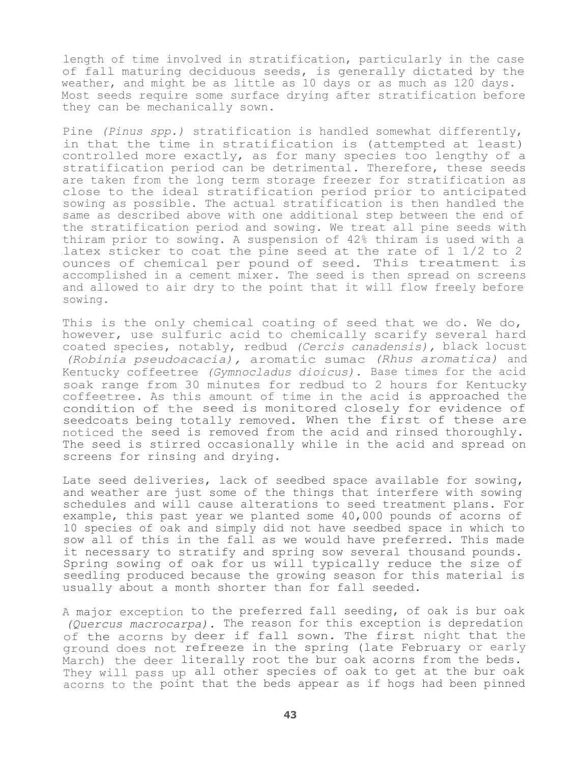length of time involved in stratification, particularly in the case of fall maturing deciduous seeds, is generally dictated by the weather, and might be as little as 10 days or as much as 120 days. Most seeds require some surface drying after stratification before they can be mechanically sown.

Pine *(Pinus spp.)* stratification is handled somewhat differently, in that the time in stratification is (attempted at least) controlled more exactly, as for many species too lengthy of a stratification period can be detrimental. Therefore, these seeds are taken from the long term storage freezer for stratification as close to the ideal stratification period prior to anticipated sowing as possible. The actual stratification is then handled the same as described above with one additional step between the end of the stratification period and sowing. We treat all pine seeds with thiram prior to sowing. A suspension of 42% thiram is used with a latex sticker to coat the pine seed at the rate of 1 1/2 to 2 ounces of chemical per pound of seed. This treatment is accomplished in a cement mixer. The seed is then spread on screens and allowed to air dry to the point that it will flow freely before sowing.

This is the only chemical coating of seed that we do. We do, however, use sulfuric acid to chemically scarify several hard coated species, notably, redbud *(Cercis canadensis),* black locust *(Robinia pseudoacacia),* aromatic sumac *(Rhus aromatica)* and Kentucky coffeetree *(Gymnocladus dioicus).* Base times for the acid soak range from 30 minutes for redbud to 2 hours for Kentucky coffeetree. As this amount of time in the acid is approached the condition of the seed is monitored closely for evidence of seedcoats being totally removed. When the first of these are noticed the seed is removed from the acid and rinsed thoroughly. The seed is stirred occasionally while in the acid and spread on screens for rinsing and drying.

Late seed deliveries, lack of seedbed space available for sowing, and weather are just some of the things that interfere with sowing schedules and will cause alterations to seed treatment plans. For example, this past year we planted some 40,000 pounds of acorns of 10 species of oak and simply did not have seedbed space in which to sow all of this in the fall as we would have preferred. This made it necessary to stratify and spring sow several thousand pounds. Spring sowing of oak for us will typically reduce the size of seedling produced because the growing season for this material is usually about a month shorter than for fall seeded.

A major exception to the preferred fall seeding, of oak is bur oak *(Quercus macrocarpa).* The reason for this exception is depredation of the acorns by deer if fall sown. The first night that the ground does not refreeze in the spring (late February or early March) the deer literally root the bur oak acorns from the beds. They will pass up all other species of oak to get at the bur oak acorns to the point that the beds appear as if hogs had been pinned